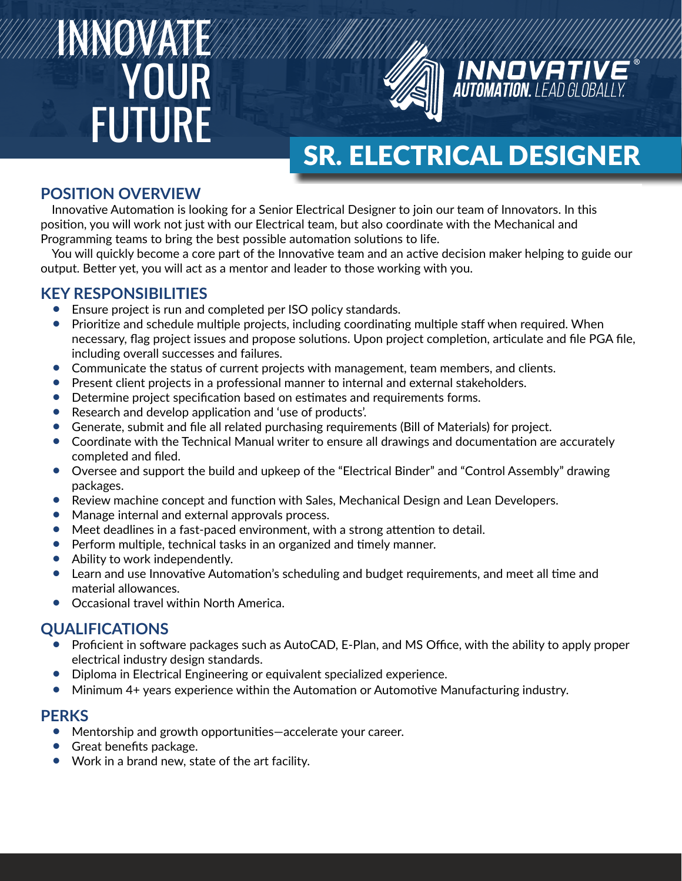# INNOVATE YOUR FUTURE



## SR. ELECTRICAL DESIGNER

## **POSITION OVERVIEW POSITION OVERVIEW**

Innovative Automation is looking for a Senior Electrical Designer to join our team of Innovators. In Innovative Automation is looking for a Senior Electrical Designer to join our team of Innovators. In this position, you will work not just with our Electrical team, but also coordinate with the Mechanical and Programming teams to bring the best possible automation solutions to life.

You will quickly become a core part of the Innovative team and an active decision maker helping to guide our output. Better yet, you will act as a mentor and leader to those working with you.

## helping to guide our output. Better yet, you will act as a mentor and leader to those working with you. **KEY RESPONSIBILITIES**

- Ensure project is run and completed per ISO policy standards.
	- Prioritize and scriedule multiple projects, including coordinating multiple processing flag project complete per interest of the processing flag project complete  $\epsilon$ necessary, flag project issues and propose solutions. Upon project completion, articulate and file PGA file,<br>including overall successes and failures • Prioritize and schedule multiple projects, including coordinating multiple staff when required. When including overall successes and failures.
	- Communicate the status of current projects with management, team members, and clients.
	- Present client projects in a professional manner to internal and external stakeholders.
	- Determine project specification based on estimates and requirements forms.
	- Research and develop application and 'use of products'.
	- **•** Generate, submit and file all related purchasing requirements (Bill of Materials) for project.
	- Coordinate with the Technical Manual writer to ensure all drawings and documentation are accurately  $\epsilon$  completed and filed. completed and filed.
	- Oversee and support the build and upkeep of the "Electrical Binder" and "Control Assembly" drawing packages.<br>P packages.
	- Review machine concept and function with Sales, Mechanical Design and Lean Developers.<br>• Manage internal and external annoyals process.
	- Manage internal and external approvals process.
	- Manage international externatiopprovisible cesss.<br>• Meet deadlines in a fast-paced environment, with a strong attention to detail.
	- Review dealings in a fast paced crivital metric, with a strong attention to detail.<br>• Perform multiple, technical tasks in an organized and timely manner.
	- Ability to work independently.
	- Learn and use Innovative Automation's scheduling and budget requirements, and meet all time and erform material allowances.<br>
	Figures in an organized and timely manner.
	- Occasional travel within North America.

#### $\overline{\mathbf{L}}$ **QUALIFICATIONS**

- ALITICATIONS<br>Perfettative affective acele • Proficient in software packages such as AutoCAD, E-Plan, and MS Office, with the ability to apply proper<br>electrical industry decise standards electrical industry design standards.
- Diploma in Electrical Engineering or equivalent specialized experience.
	- $\bullet$  Minimum 4+ years experience within the Automation or Automotive Manufacturing industry.

#### proper electrical industry design standards. **PERKS**

- Mentorship and growth opportunities—accelerate your career.
- Minimum 2+ years experience with the Automation or Automotive Manufacturing industry or Automotive Manufacturing industry or Automotive Manufacturing industry or Automotive Manufacturing industry of the Automotive Manuf
- Work in a brand new, state of the art facility.